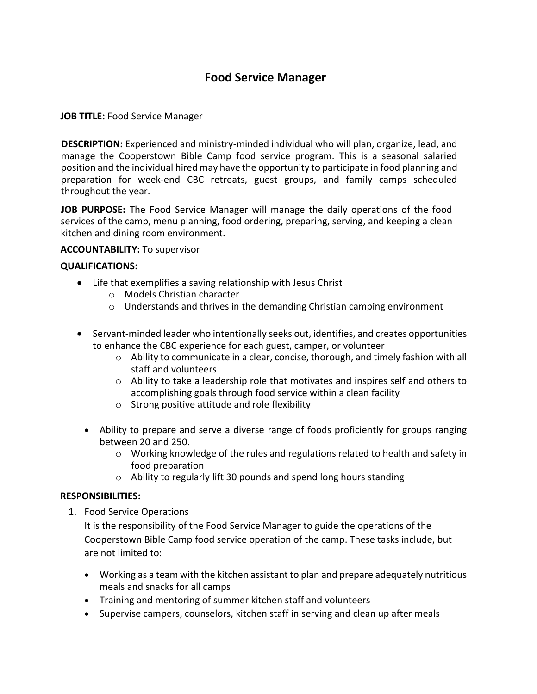# **Food Service Manager**

### **JOB TITLE:** Food Service Manager

**DESCRIPTION:** Experienced and ministry-minded individual who will plan, organize, lead, and manage the Cooperstown Bible Camp food service program. This is a seasonal salaried position and the individual hired may have the opportunity to participate in food planning and preparation for week-end CBC retreats, guest groups, and family camps scheduled throughout the year.

**JOB PURPOSE:** The Food Service Manager will manage the daily operations of the food services of the camp, menu planning, food ordering, preparing, serving, and keeping a clean kitchen and dining room environment.

#### **ACCOUNTABILITY:** To supervisor

#### **QUALIFICATIONS:**

- Life that exemplifies a saving relationship with Jesus Christ
	- o Models Christian character
	- o Understands and thrives in the demanding Christian camping environment
- Servant-minded leader who intentionally seeks out, identifies, and creates opportunities to enhance the CBC experience for each guest, camper, or volunteer
	- $\circ$  Ability to communicate in a clear, concise, thorough, and timely fashion with all staff and volunteers
	- $\circ$  Ability to take a leadership role that motivates and inspires self and others to accomplishing goals through food service within a clean facility
	- o Strong positive attitude and role flexibility
	- Ability to prepare and serve a diverse range of foods proficiently for groups ranging between 20 and 250.
		- $\circ$  Working knowledge of the rules and regulations related to health and safety in food preparation
		- o Ability to regularly lift 30 pounds and spend long hours standing

#### **RESPONSIBILITIES:**

1. Food Service Operations

It is the responsibility of the Food Service Manager to guide the operations of the Cooperstown Bible Camp food service operation of the camp. These tasks include, but are not limited to:

- Working as a team with the kitchen assistant to plan and prepare adequately nutritious meals and snacks for all camps
- Training and mentoring of summer kitchen staff and volunteers
- Supervise campers, counselors, kitchen staff in serving and clean up after meals